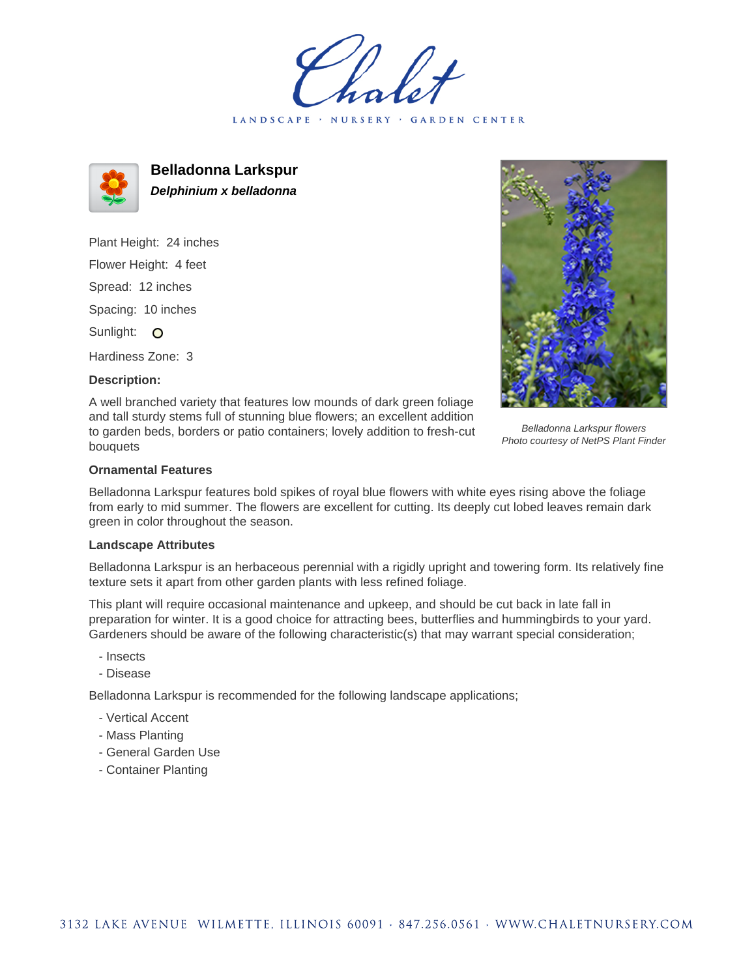LANDSCAPE · NURSERY · GARDEN CENTER



**Belladonna Larkspur Delphinium x belladonna**

Plant Height: 24 inches Flower Height: 4 feet Spread: 12 inches Spacing: 10 inches Sunlight: O

Hardiness Zone: 3

## **Description:**

A well branched variety that features low mounds of dark green foliage and tall sturdy stems full of stunning blue flowers; an excellent addition to garden beds, borders or patio containers; lovely addition to fresh-cut bouquets

Belladonna Larkspur flowers Photo courtesy of NetPS Plant Finder

## **Ornamental Features**

Belladonna Larkspur features bold spikes of royal blue flowers with white eyes rising above the foliage from early to mid summer. The flowers are excellent for cutting. Its deeply cut lobed leaves remain dark green in color throughout the season.

## **Landscape Attributes**

Belladonna Larkspur is an herbaceous perennial with a rigidly upright and towering form. Its relatively fine texture sets it apart from other garden plants with less refined foliage.

This plant will require occasional maintenance and upkeep, and should be cut back in late fall in preparation for winter. It is a good choice for attracting bees, butterflies and hummingbirds to your yard. Gardeners should be aware of the following characteristic(s) that may warrant special consideration;

- Insects
- Disease

Belladonna Larkspur is recommended for the following landscape applications;

- Vertical Accent
- Mass Planting
- General Garden Use
- Container Planting